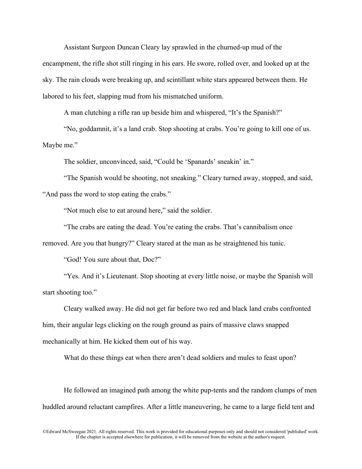Assistant Surgeon Duncan Cleary lay sprawled in the churned-up mud of the encampment, the rifle shot still ringing in his ears. He swore, rolled over, and looked up at the sky. The rain clouds were breaking up, and scintillant white stars appeared between them. He labored to his feet, slapping mud from his mismatched uniform.

A man clutching a rifle ran up beside him and whispered, "It's the Spanish?"

"No, goddamnit, it's a land crab. Stop shooting at crabs. You're going to kill one of us. Maybe me."

The soldier, unconvinced, said, "Could be 'Spanards' sneakin' in."

"The Spanish would be shooting, not sneaking." Cleary turned away, stopped, and said, "And pass the word to stop eating the crabs."

"Not much else to eat around here," said the soldier.

"The crabs are eating the dead. You're eating the crabs. That's cannibalism once

removed. Are you that hungry?" Cleary stared at the man as he straightened his tunic.

"God! You sure about that, Doc?"

"Yes. And it's Lieutenant. Stop shooting at every little noise, or maybe the Spanish will start shooting too."

Cleary walked away. He did not get far before two red and black land crabs confronted him, their angular legs clicking on the rough ground as pairs of massive claws snapped mechanically at him. He kicked them out of his way.

What do these things eat when there aren't dead soldiers and mules to feast upon?

He followed an imagined path among the white pup-tents and the random clumps of men huddled around reluctant campfires. After a little maneuvering, he came to a large field tent and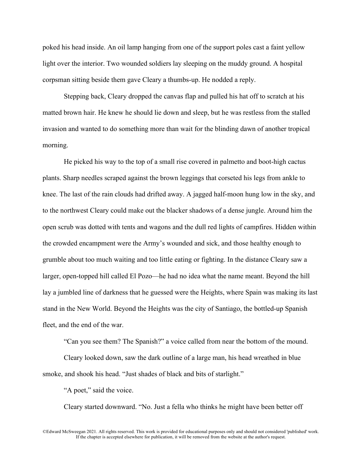poked his head inside. An oil lamp hanging from one of the support poles cast a faint yellow light over the interior. Two wounded soldiers lay sleeping on the muddy ground. A hospital corpsman sitting beside them gave Cleary a thumbs-up. He nodded a reply.

Stepping back, Cleary dropped the canvas flap and pulled his hat off to scratch at his matted brown hair. He knew he should lie down and sleep, but he was restless from the stalled invasion and wanted to do something more than wait for the blinding dawn of another tropical morning.

He picked his way to the top of a small rise covered in palmetto and boot-high cactus plants. Sharp needles scraped against the brown leggings that corseted his legs from ankle to knee. The last of the rain clouds had drifted away. A jagged half-moon hung low in the sky, and to the northwest Cleary could make out the blacker shadows of a dense jungle. Around him the open scrub was dotted with tents and wagons and the dull red lights of campfires. Hidden within the crowded encampment were the Army's wounded and sick, and those healthy enough to grumble about too much waiting and too little eating or fighting. In the distance Cleary saw a larger, open-topped hill called El Pozo—he had no idea what the name meant. Beyond the hill lay a jumbled line of darkness that he guessed were the Heights, where Spain was making its last stand in the New World. Beyond the Heights was the city of Santiago, the bottled-up Spanish fleet, and the end of the war.

"Can you see them? The Spanish?" a voice called from near the bottom of the mound.

Cleary looked down, saw the dark outline of a large man, his head wreathed in blue smoke, and shook his head. "Just shades of black and bits of starlight."

"A poet," said the voice.

Cleary started downward. "No. Just a fella who thinks he might have been better off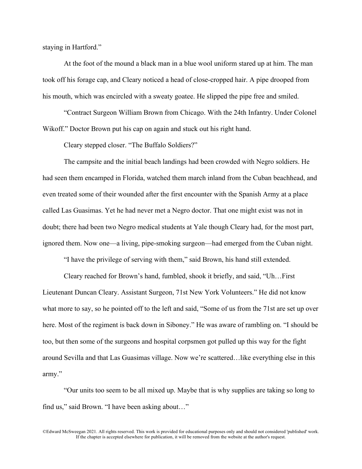staying in Hartford."

At the foot of the mound a black man in a blue wool uniform stared up at him. The man took off his forage cap, and Cleary noticed a head of close-cropped hair. A pipe drooped from his mouth, which was encircled with a sweaty goatee. He slipped the pipe free and smiled.

"Contract Surgeon William Brown from Chicago. With the 24th Infantry. Under Colonel Wikoff." Doctor Brown put his cap on again and stuck out his right hand.

Cleary stepped closer. "The Buffalo Soldiers?"

The campsite and the initial beach landings had been crowded with Negro soldiers. He had seen them encamped in Florida, watched them march inland from the Cuban beachhead, and even treated some of their wounded after the first encounter with the Spanish Army at a place called Las Guasimas. Yet he had never met a Negro doctor. That one might exist was not in doubt; there had been two Negro medical students at Yale though Cleary had, for the most part, ignored them. Now one—a living, pipe-smoking surgeon—had emerged from the Cuban night.

"I have the privilege of serving with them," said Brown, his hand still extended.

Cleary reached for Brown's hand, fumbled, shook it briefly, and said, "Uh…First Lieutenant Duncan Cleary. Assistant Surgeon, 71st New York Volunteers." He did not know what more to say, so he pointed off to the left and said, "Some of us from the 71st are set up over here. Most of the regiment is back down in Siboney." He was aware of rambling on. "I should be too, but then some of the surgeons and hospital corpsmen got pulled up this way for the fight around Sevilla and that Las Guasimas village. Now we're scattered…like everything else in this army."

"Our units too seem to be all mixed up. Maybe that is why supplies are taking so long to find us," said Brown. "I have been asking about…"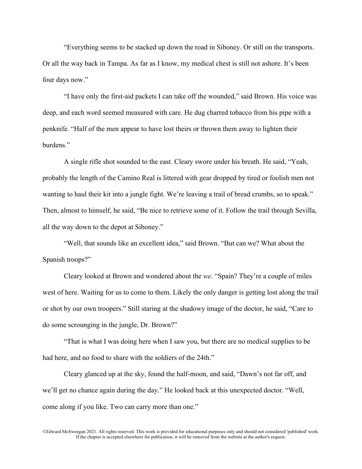"Everything seems to be stacked up down the road in Siboney. Or still on the transports. Or all the way back in Tampa. As far as I know, my medical chest is still not ashore. It's been four days now."

"I have only the first-aid packets I can take off the wounded," said Brown. His voice was deep, and each word seemed measured with care. He dug charred tobacco from his pipe with a penknife. "Half of the men appear to have lost theirs or thrown them away to lighten their burdens."

A single rifle shot sounded to the east. Cleary swore under his breath. He said, "Yeah, probably the length of the Camino Real is littered with gear dropped by tired or foolish men not wanting to haul their kit into a jungle fight. We're leaving a trail of bread crumbs, so to speak." Then, almost to himself, he said, "Be nice to retrieve some of it. Follow the trail through Sevilla, all the way down to the depot at Siboney."

"Well, that sounds like an excellent idea," said Brown. "But can we? What about the Spanish troops?"

Cleary looked at Brown and wondered about the *we*. "Spain? They're a couple of miles west of here. Waiting for us to come to them. Likely the only danger is getting lost along the trail or shot by our own troopers." Still staring at the shadowy image of the doctor, he said, "Care to do some scrounging in the jungle, Dr. Brown?"

"That is what I was doing here when I saw you, but there are no medical supplies to be had here, and no food to share with the soldiers of the 24th."

Cleary glanced up at the sky, found the half-moon, and said, "Dawn's not far off, and we'll get no chance again during the day." He looked back at this unexpected doctor. "Well, come along if you like. Two can carry more than one."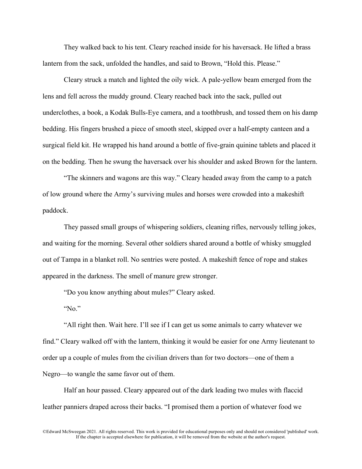They walked back to his tent. Cleary reached inside for his haversack. He lifted a brass lantern from the sack, unfolded the handles, and said to Brown, "Hold this. Please."

Cleary struck a match and lighted the oily wick. A pale-yellow beam emerged from the lens and fell across the muddy ground. Cleary reached back into the sack, pulled out underclothes, a book, a Kodak Bulls-Eye camera, and a toothbrush, and tossed them on his damp bedding. His fingers brushed a piece of smooth steel, skipped over a half-empty canteen and a surgical field kit. He wrapped his hand around a bottle of five-grain quinine tablets and placed it on the bedding. Then he swung the haversack over his shoulder and asked Brown for the lantern.

"The skinners and wagons are this way." Cleary headed away from the camp to a patch of low ground where the Army's surviving mules and horses were crowded into a makeshift paddock.

They passed small groups of whispering soldiers, cleaning rifles, nervously telling jokes, and waiting for the morning. Several other soldiers shared around a bottle of whisky smuggled out of Tampa in a blanket roll. No sentries were posted. A makeshift fence of rope and stakes appeared in the darkness. The smell of manure grew stronger.

"Do you know anything about mules?" Cleary asked.

"No."

"All right then. Wait here. I'll see if I can get us some animals to carry whatever we find." Cleary walked off with the lantern, thinking it would be easier for one Army lieutenant to order up a couple of mules from the civilian drivers than for two doctors—one of them a Negro—to wangle the same favor out of them.

Half an hour passed. Cleary appeared out of the dark leading two mules with flaccid leather panniers draped across their backs. "I promised them a portion of whatever food we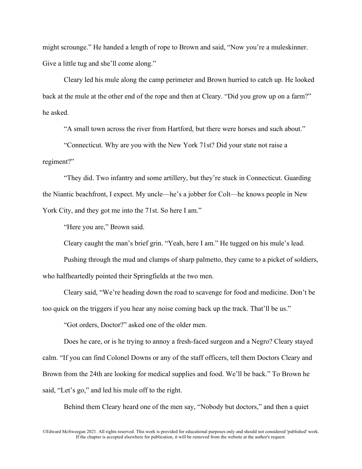might scrounge." He handed a length of rope to Brown and said, "Now you're a muleskinner. Give a little tug and she'll come along."

Cleary led his mule along the camp perimeter and Brown hurried to catch up. He looked back at the mule at the other end of the rope and then at Cleary. "Did you grow up on a farm?" he asked.

"A small town across the river from Hartford, but there were horses and such about."

"Connecticut. Why are you with the New York 71st? Did your state not raise a regiment?"

"They did. Two infantry and some artillery, but they're stuck in Connecticut. Guarding the Niantic beachfront, I expect. My uncle—he's a jobber for Colt—he knows people in New York City, and they got me into the 71st. So here I am."

"Here you are," Brown said.

Cleary caught the man's brief grin. "Yeah, here I am." He tugged on his mule's lead.

Pushing through the mud and clumps of sharp palmetto, they came to a picket of soldiers, who halfheartedly pointed their Springfields at the two men.

Cleary said, "We're heading down the road to scavenge for food and medicine. Don't be too quick on the triggers if you hear any noise coming back up the track. That'll be us."

"Got orders, Doctor?" asked one of the older men.

Does he care, or is he trying to annoy a fresh-faced surgeon and a Negro? Cleary stayed calm. "If you can find Colonel Downs or any of the staff officers, tell them Doctors Cleary and Brown from the 24th are looking for medical supplies and food. We'll be back." To Brown he said, "Let's go," and led his mule off to the right.

Behind them Cleary heard one of the men say, "Nobody but doctors," and then a quiet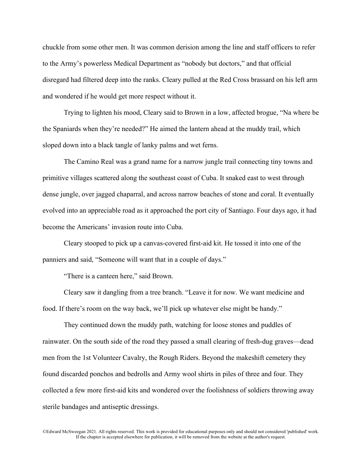chuckle from some other men. It was common derision among the line and staff officers to refer to the Army's powerless Medical Department as "nobody but doctors," and that official disregard had filtered deep into the ranks. Cleary pulled at the Red Cross brassard on his left arm and wondered if he would get more respect without it.

Trying to lighten his mood, Cleary said to Brown in a low, affected brogue, "Na where be the Spaniards when they're needed?" He aimed the lantern ahead at the muddy trail, which sloped down into a black tangle of lanky palms and wet ferns.

The Camino Real was a grand name for a narrow jungle trail connecting tiny towns and primitive villages scattered along the southeast coast of Cuba. It snaked east to west through dense jungle, over jagged chaparral, and across narrow beaches of stone and coral. It eventually evolved into an appreciable road as it approached the port city of Santiago. Four days ago, it had become the Americans' invasion route into Cuba.

Cleary stooped to pick up a canvas-covered first-aid kit. He tossed it into one of the panniers and said, "Someone will want that in a couple of days."

"There is a canteen here," said Brown.

Cleary saw it dangling from a tree branch. "Leave it for now. We want medicine and food. If there's room on the way back, we'll pick up whatever else might be handy."

They continued down the muddy path, watching for loose stones and puddles of rainwater. On the south side of the road they passed a small clearing of fresh-dug graves—dead men from the 1st Volunteer Cavalry, the Rough Riders. Beyond the makeshift cemetery they found discarded ponchos and bedrolls and Army wool shirts in piles of three and four. They collected a few more first-aid kits and wondered over the foolishness of soldiers throwing away sterile bandages and antiseptic dressings.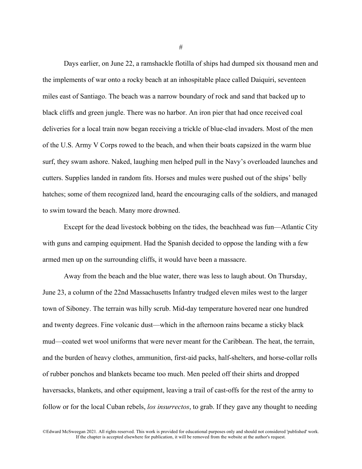Days earlier, on June 22, a ramshackle flotilla of ships had dumped six thousand men and the implements of war onto a rocky beach at an inhospitable place called Daiquiri, seventeen miles east of Santiago. The beach was a narrow boundary of rock and sand that backed up to black cliffs and green jungle. There was no harbor. An iron pier that had once received coal deliveries for a local train now began receiving a trickle of blue-clad invaders. Most of the men of the U.S. Army V Corps rowed to the beach, and when their boats capsized in the warm blue surf, they swam ashore. Naked, laughing men helped pull in the Navy's overloaded launches and cutters. Supplies landed in random fits. Horses and mules were pushed out of the ships' belly hatches; some of them recognized land, heard the encouraging calls of the soldiers, and managed to swim toward the beach. Many more drowned.

Except for the dead livestock bobbing on the tides, the beachhead was fun—Atlantic City with guns and camping equipment. Had the Spanish decided to oppose the landing with a few armed men up on the surrounding cliffs, it would have been a massacre.

Away from the beach and the blue water, there was less to laugh about. On Thursday, June 23, a column of the 22nd Massachusetts Infantry trudged eleven miles west to the larger town of Siboney. The terrain was hilly scrub. Mid-day temperature hovered near one hundred and twenty degrees. Fine volcanic dust—which in the afternoon rains became a sticky black mud—coated wet wool uniforms that were never meant for the Caribbean. The heat, the terrain, and the burden of heavy clothes, ammunition, first-aid packs, half-shelters, and horse-collar rolls of rubber ponchos and blankets became too much. Men peeled off their shirts and dropped haversacks, blankets, and other equipment, leaving a trail of cast-offs for the rest of the army to follow or for the local Cuban rebels, *los insurrectos*, to grab. If they gave any thought to needing

©Edward McSweegan 2021. All rights reserved. This work is provided for educational purposes only and should not considered 'published' work. If the chapter is accepted elsewhere for publication, it will be removed from the website at the author's request.

#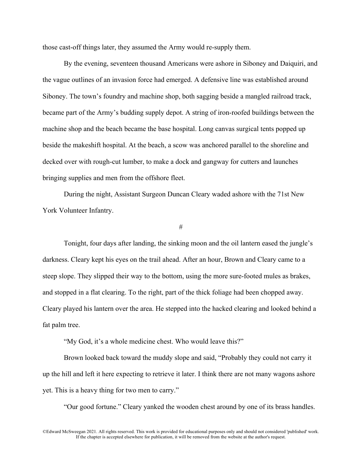those cast-off things later, they assumed the Army would re-supply them.

By the evening, seventeen thousand Americans were ashore in Siboney and Daiquiri, and the vague outlines of an invasion force had emerged. A defensive line was established around Siboney. The town's foundry and machine shop, both sagging beside a mangled railroad track, became part of the Army's budding supply depot. A string of iron-roofed buildings between the machine shop and the beach became the base hospital. Long canvas surgical tents popped up beside the makeshift hospital. At the beach, a scow was anchored parallel to the shoreline and decked over with rough-cut lumber, to make a dock and gangway for cutters and launches bringing supplies and men from the offshore fleet.

During the night, Assistant Surgeon Duncan Cleary waded ashore with the 71st New York Volunteer Infantry.

#

Tonight, four days after landing, the sinking moon and the oil lantern eased the jungle's darkness. Cleary kept his eyes on the trail ahead. After an hour, Brown and Cleary came to a steep slope. They slipped their way to the bottom, using the more sure-footed mules as brakes, and stopped in a flat clearing. To the right, part of the thick foliage had been chopped away. Cleary played his lantern over the area. He stepped into the hacked clearing and looked behind a fat palm tree.

"My God, it's a whole medicine chest. Who would leave this?"

Brown looked back toward the muddy slope and said, "Probably they could not carry it up the hill and left it here expecting to retrieve it later. I think there are not many wagons ashore yet. This is a heavy thing for two men to carry."

"Our good fortune." Cleary yanked the wooden chest around by one of its brass handles.

<sup>©</sup>Edward McSweegan 2021. All rights reserved. This work is provided for educational purposes only and should not considered 'published' work. If the chapter is accepted elsewhere for publication, it will be removed from the website at the author's request.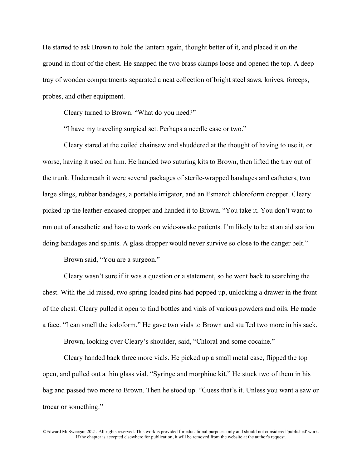He started to ask Brown to hold the lantern again, thought better of it, and placed it on the ground in front of the chest. He snapped the two brass clamps loose and opened the top. A deep tray of wooden compartments separated a neat collection of bright steel saws, knives, forceps, probes, and other equipment.

Cleary turned to Brown. "What do you need?"

"I have my traveling surgical set. Perhaps a needle case or two."

Cleary stared at the coiled chainsaw and shuddered at the thought of having to use it, or worse, having it used on him. He handed two suturing kits to Brown, then lifted the tray out of the trunk. Underneath it were several packages of sterile-wrapped bandages and catheters, two large slings, rubber bandages, a portable irrigator, and an Esmarch chloroform dropper. Cleary picked up the leather-encased dropper and handed it to Brown. "You take it. You don't want to run out of anesthetic and have to work on wide-awake patients. I'm likely to be at an aid station doing bandages and splints. A glass dropper would never survive so close to the danger belt."

Brown said, "You are a surgeon."

Cleary wasn't sure if it was a question or a statement, so he went back to searching the chest. With the lid raised, two spring-loaded pins had popped up, unlocking a drawer in the front of the chest. Cleary pulled it open to find bottles and vials of various powders and oils. He made a face. "I can smell the iodoform." He gave two vials to Brown and stuffed two more in his sack.

Brown, looking over Cleary's shoulder, said, "Chloral and some cocaine."

Cleary handed back three more vials. He picked up a small metal case, flipped the top open, and pulled out a thin glass vial. "Syringe and morphine kit." He stuck two of them in his bag and passed two more to Brown. Then he stood up. "Guess that's it. Unless you want a saw or trocar or something."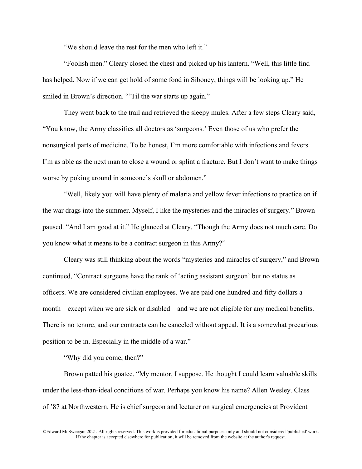"We should leave the rest for the men who left it."

"Foolish men." Cleary closed the chest and picked up his lantern. "Well, this little find has helped. Now if we can get hold of some food in Siboney, things will be looking up." He smiled in Brown's direction. "Til the war starts up again."

They went back to the trail and retrieved the sleepy mules. After a few steps Cleary said, "You know, the Army classifies all doctors as 'surgeons.' Even those of us who prefer the nonsurgical parts of medicine. To be honest, I'm more comfortable with infections and fevers. I'm as able as the next man to close a wound or splint a fracture. But I don't want to make things worse by poking around in someone's skull or abdomen."

"Well, likely you will have plenty of malaria and yellow fever infections to practice on if the war drags into the summer. Myself, I like the mysteries and the miracles of surgery." Brown paused. "And I am good at it." He glanced at Cleary. "Though the Army does not much care. Do you know what it means to be a contract surgeon in this Army?"

Cleary was still thinking about the words "mysteries and miracles of surgery," and Brown continued, "Contract surgeons have the rank of 'acting assistant surgeon' but no status as officers. We are considered civilian employees. We are paid one hundred and fifty dollars a month—except when we are sick or disabled—and we are not eligible for any medical benefits. There is no tenure, and our contracts can be canceled without appeal. It is a somewhat precarious position to be in. Especially in the middle of a war."

"Why did you come, then?"

Brown patted his goatee. "My mentor, I suppose. He thought I could learn valuable skills under the less-than-ideal conditions of war. Perhaps you know his name? Allen Wesley. Class of '87 at Northwestern. He is chief surgeon and lecturer on surgical emergencies at Provident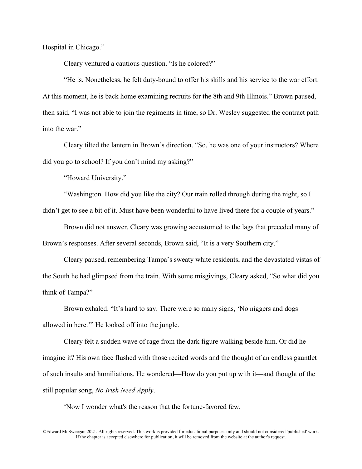Hospital in Chicago."

Cleary ventured a cautious question. "Is he colored?"

"He is. Nonetheless, he felt duty-bound to offer his skills and his service to the war effort. At this moment, he is back home examining recruits for the 8th and 9th Illinois." Brown paused, then said, "I was not able to join the regiments in time, so Dr. Wesley suggested the contract path into the war."

Cleary tilted the lantern in Brown's direction. "So, he was one of your instructors? Where did you go to school? If you don't mind my asking?"

"Howard University."

"Washington. How did you like the city? Our train rolled through during the night, so I didn't get to see a bit of it. Must have been wonderful to have lived there for a couple of years."

Brown did not answer. Cleary was growing accustomed to the lags that preceded many of Brown's responses. After several seconds, Brown said, "It is a very Southern city."

Cleary paused, remembering Tampa's sweaty white residents, and the devastated vistas of the South he had glimpsed from the train. With some misgivings, Cleary asked, "So what did you think of Tampa?"

Brown exhaled. "It's hard to say. There were so many signs, 'No niggers and dogs allowed in here.'" He looked off into the jungle.

Cleary felt a sudden wave of rage from the dark figure walking beside him. Or did he imagine it? His own face flushed with those recited words and the thought of an endless gauntlet of such insults and humiliations. He wondered—How do you put up with it—and thought of the still popular song, *No Irish Need Apply*.

'Now I wonder what's the reason that the fortune-favored few,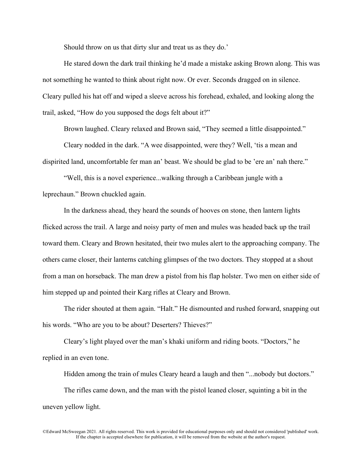Should throw on us that dirty slur and treat us as they do.'

He stared down the dark trail thinking he'd made a mistake asking Brown along. This was not something he wanted to think about right now. Or ever. Seconds dragged on in silence. Cleary pulled his hat off and wiped a sleeve across his forehead, exhaled, and looking along the trail, asked, "How do you supposed the dogs felt about it?"

Brown laughed. Cleary relaxed and Brown said, "They seemed a little disappointed."

Cleary nodded in the dark. "A wee disappointed, were they? Well, 'tis a mean and dispirited land, uncomfortable fer man an' beast. We should be glad to be 'ere an' nah there."

"Well, this is a novel experience...walking through a Caribbean jungle with a leprechaun." Brown chuckled again.

In the darkness ahead, they heard the sounds of hooves on stone, then lantern lights flicked across the trail. A large and noisy party of men and mules was headed back up the trail toward them. Cleary and Brown hesitated, their two mules alert to the approaching company. The others came closer, their lanterns catching glimpses of the two doctors. They stopped at a shout from a man on horseback. The man drew a pistol from his flap holster. Two men on either side of him stepped up and pointed their Karg rifles at Cleary and Brown.

The rider shouted at them again. "Halt." He dismounted and rushed forward, snapping out his words. "Who are you to be about? Deserters? Thieves?"

Cleary's light played over the man's khaki uniform and riding boots. "Doctors," he replied in an even tone.

Hidden among the train of mules Cleary heard a laugh and then "...nobody but doctors."

The rifles came down, and the man with the pistol leaned closer, squinting a bit in the uneven yellow light.

<sup>©</sup>Edward McSweegan 2021. All rights reserved. This work is provided for educational purposes only and should not considered 'published' work. If the chapter is accepted elsewhere for publication, it will be removed from the website at the author's request.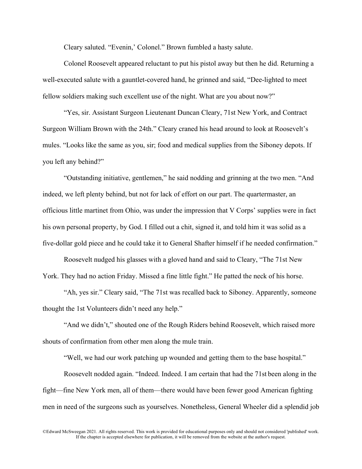Cleary saluted. "Evenin,' Colonel." Brown fumbled a hasty salute.

Colonel Roosevelt appeared reluctant to put his pistol away but then he did. Returning a well-executed salute with a gauntlet-covered hand, he grinned and said, "Dee-lighted to meet fellow soldiers making such excellent use of the night. What are you about now?"

"Yes, sir. Assistant Surgeon Lieutenant Duncan Cleary, 71st New York, and Contract Surgeon William Brown with the 24th." Cleary craned his head around to look at Roosevelt's mules. "Looks like the same as you, sir; food and medical supplies from the Siboney depots. If you left any behind?"

"Outstanding initiative, gentlemen," he said nodding and grinning at the two men. "And indeed, we left plenty behind, but not for lack of effort on our part. The quartermaster, an officious little martinet from Ohio, was under the impression that V Corps' supplies were in fact his own personal property, by God. I filled out a chit, signed it, and told him it was solid as a five-dollar gold piece and he could take it to General Shafter himself if he needed confirmation."

Roosevelt nudged his glasses with a gloved hand and said to Cleary, "The 71st New York. They had no action Friday. Missed a fine little fight." He patted the neck of his horse.

"Ah, yes sir." Cleary said, "The 71st was recalled back to Siboney. Apparently, someone thought the 1st Volunteers didn't need any help."

"And we didn't," shouted one of the Rough Riders behind Roosevelt, which raised more shouts of confirmation from other men along the mule train.

"Well, we had our work patching up wounded and getting them to the base hospital."

Roosevelt nodded again. "Indeed. Indeed. I am certain that had the 71st been along in the fight—fine New York men, all of them—there would have been fewer good American fighting men in need of the surgeons such as yourselves. Nonetheless, General Wheeler did a splendid job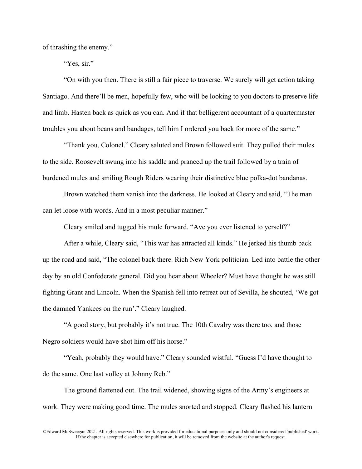of thrashing the enemy."

"Yes, sir."

"On with you then. There is still a fair piece to traverse. We surely will get action taking Santiago. And there'll be men, hopefully few, who will be looking to you doctors to preserve life and limb. Hasten back as quick as you can. And if that belligerent accountant of a quartermaster troubles you about beans and bandages, tell him I ordered you back for more of the same."

"Thank you, Colonel." Cleary saluted and Brown followed suit. They pulled their mules to the side. Roosevelt swung into his saddle and pranced up the trail followed by a train of burdened mules and smiling Rough Riders wearing their distinctive blue polka-dot bandanas.

Brown watched them vanish into the darkness. He looked at Cleary and said, "The man can let loose with words. And in a most peculiar manner."

Cleary smiled and tugged his mule forward. "Ave you ever listened to yerself?"

After a while, Cleary said, "This war has attracted all kinds." He jerked his thumb back up the road and said, "The colonel back there. Rich New York politician. Led into battle the other day by an old Confederate general. Did you hear about Wheeler? Must have thought he was still fighting Grant and Lincoln. When the Spanish fell into retreat out of Sevilla, he shouted, 'We got the damned Yankees on the run'." Cleary laughed.

"A good story, but probably it's not true. The 10th Cavalry was there too, and those Negro soldiers would have shot him off his horse."

"Yeah, probably they would have." Cleary sounded wistful. "Guess I'd have thought to do the same. One last volley at Johnny Reb."

The ground flattened out. The trail widened, showing signs of the Army's engineers at work. They were making good time. The mules snorted and stopped. Cleary flashed his lantern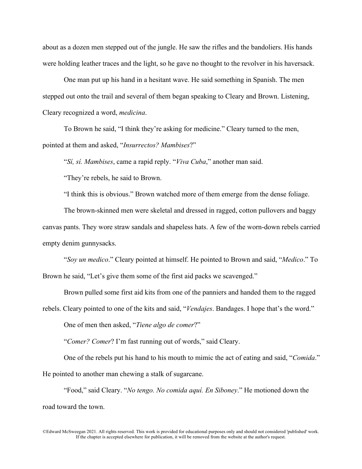about as a dozen men stepped out of the jungle. He saw the rifles and the bandoliers. His hands were holding leather traces and the light, so he gave no thought to the revolver in his haversack.

One man put up his hand in a hesitant wave. He said something in Spanish. The men stepped out onto the trail and several of them began speaking to Cleary and Brown. Listening, Cleary recognized a word, *medicina*.

To Brown he said, "I think they're asking for medicine." Cleary turned to the men, pointed at them and asked, "*Insurrectos? Mambises*?"

"*Sí, sí. Mambises*, came a rapid reply. "*Viva Cuba*," another man said.

"They're rebels, he said to Brown.

"I think this is obvious." Brown watched more of them emerge from the dense foliage.

The brown-skinned men were skeletal and dressed in ragged, cotton pullovers and baggy canvas pants. They wore straw sandals and shapeless hats. A few of the worn-down rebels carried empty denim gunnysacks.

"*Soy un medico*." Cleary pointed at himself. He pointed to Brown and said, "*Medico*." To Brown he said, "Let's give them some of the first aid packs we scavenged."

Brown pulled some first aid kits from one of the panniers and handed them to the ragged

rebels. Cleary pointed to one of the kits and said, "*Vendajes*. Bandages. I hope that's the word."

One of men then asked, "*Tiene algo de comer*?"

"*Comer? Comer*? I'm fast running out of words," said Cleary.

One of the rebels put his hand to his mouth to mimic the act of eating and said, "*Comida*." He pointed to another man chewing a stalk of sugarcane.

"Food," said Cleary. "*No tengo. No comida aquí. En Siboney*." He motioned down the road toward the town.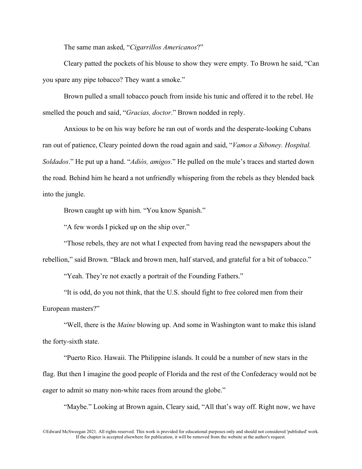The same man asked, "*Cigarrillos Americanos*?"

Cleary patted the pockets of his blouse to show they were empty. To Brown he said, "Can you spare any pipe tobacco? They want a smoke."

Brown pulled a small tobacco pouch from inside his tunic and offered it to the rebel. He smelled the pouch and said, "*Gracias, doctor*." Brown nodded in reply.

Anxious to be on his way before he ran out of words and the desperate-looking Cubans ran out of patience, Cleary pointed down the road again and said, "*Vamos a Siboney. Hospital. Soldados*." He put up a hand. "*Adiós, amigos*." He pulled on the mule's traces and started down the road. Behind him he heard a not unfriendly whispering from the rebels as they blended back into the jungle.

Brown caught up with him. "You know Spanish."

"A few words I picked up on the ship over."

"Those rebels, they are not what I expected from having read the newspapers about the rebellion," said Brown. "Black and brown men, half starved, and grateful for a bit of tobacco."

"Yeah. They're not exactly a portrait of the Founding Fathers."

"It is odd, do you not think, that the U.S. should fight to free colored men from their European masters?"

"Well, there is the *Maine* blowing up. And some in Washington want to make this island the forty-sixth state.

"Puerto Rico. Hawaii. The Philippine islands. It could be a number of new stars in the flag. But then I imagine the good people of Florida and the rest of the Confederacy would not be eager to admit so many non-white races from around the globe."

"Maybe." Looking at Brown again, Cleary said, "All that's way off. Right now, we have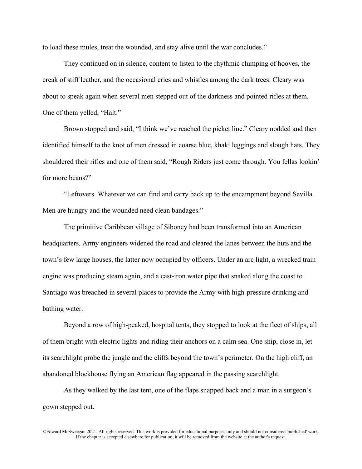to load these mules, treat the wounded, and stay alive until the war concludes."

They continued on in silence, content to listen to the rhythmic clumping of hooves, the creak of stiff leather, and the occasional cries and whistles among the dark trees. Cleary was about to speak again when several men stepped out of the darkness and pointed rifles at them. One of them yelled, "Halt."

Brown stopped and said, "I think we've reached the picket line." Cleary nodded and then identified himself to the knot of men dressed in coarse blue, khaki leggings and slough hats. They shouldered their rifles and one of them said, "Rough Riders just come through. You fellas lookin' for more beans?"

"Leftovers. Whatever we can find and carry back up to the encampment beyond Sevilla. Men are hungry and the wounded need clean bandages."

The primitive Caribbean village of Siboney had been transformed into an American headquarters. Army engineers widened the road and cleared the lanes between the huts and the town's few large houses, the latter now occupied by officers. Under an arc light, a wrecked train engine was producing steam again, and a cast-iron water pipe that snaked along the coast to Santiago was breached in several places to provide the Army with high-pressure drinking and bathing water.

Beyond a row of high-peaked, hospital tents, they stopped to look at the fleet of ships, all of them bright with electric lights and riding their anchors on a calm sea. One ship, close in, let its searchlight probe the jungle and the cliffs beyond the town's perimeter. On the high cliff, an abandoned blockhouse flying an American flag appeared in the passing searchlight.

As they walked by the last tent, one of the flaps snapped back and a man in a surgeon's gown stepped out.

<sup>©</sup>Edward McSweegan 2021. All rights reserved. This work is provided for educational purposes only and should not considered 'published' work. If the chapter is accepted elsewhere for publication, it will be removed from the website at the author's request.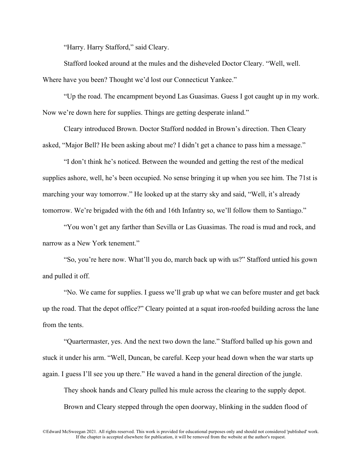"Harry. Harry Stafford," said Cleary.

Stafford looked around at the mules and the disheveled Doctor Cleary. "Well, well. Where have you been? Thought we'd lost our Connecticut Yankee."

"Up the road. The encampment beyond Las Guasimas. Guess I got caught up in my work. Now we're down here for supplies. Things are getting desperate inland."

Cleary introduced Brown. Doctor Stafford nodded in Brown's direction. Then Cleary asked, "Major Bell? He been asking about me? I didn't get a chance to pass him a message."

"I don't think he's noticed. Between the wounded and getting the rest of the medical supplies ashore, well, he's been occupied. No sense bringing it up when you see him. The 71st is marching your way tomorrow." He looked up at the starry sky and said, "Well, it's already tomorrow. We're brigaded with the 6th and 16th Infantry so, we'll follow them to Santiago."

"You won't get any farther than Sevilla or Las Guasimas. The road is mud and rock, and narrow as a New York tenement."

"So, you're here now. What'll you do, march back up with us?" Stafford untied his gown and pulled it off.

"No. We came for supplies. I guess we'll grab up what we can before muster and get back up the road. That the depot office?" Cleary pointed at a squat iron-roofed building across the lane from the tents.

"Quartermaster, yes. And the next two down the lane." Stafford balled up his gown and stuck it under his arm. "Well, Duncan, be careful. Keep your head down when the war starts up again. I guess I'll see you up there." He waved a hand in the general direction of the jungle.

They shook hands and Cleary pulled his mule across the clearing to the supply depot. Brown and Cleary stepped through the open doorway, blinking in the sudden flood of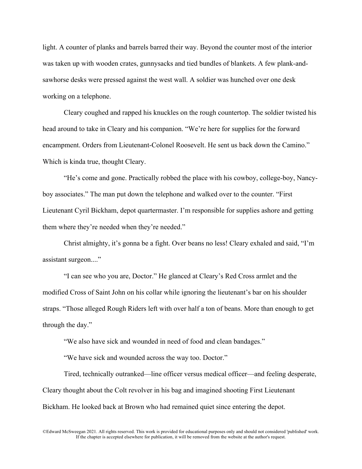light. A counter of planks and barrels barred their way. Beyond the counter most of the interior was taken up with wooden crates, gunnysacks and tied bundles of blankets. A few plank-andsawhorse desks were pressed against the west wall. A soldier was hunched over one desk working on a telephone.

Cleary coughed and rapped his knuckles on the rough countertop. The soldier twisted his head around to take in Cleary and his companion. "We're here for supplies for the forward encampment. Orders from Lieutenant-Colonel Roosevelt. He sent us back down the Camino." Which is kinda true, thought Cleary.

"He's come and gone. Practically robbed the place with his cowboy, college-boy, Nancyboy associates." The man put down the telephone and walked over to the counter. "First Lieutenant Cyril Bickham, depot quartermaster. I'm responsible for supplies ashore and getting them where they're needed when they're needed."

Christ almighty, it's gonna be a fight. Over beans no less! Cleary exhaled and said, "I'm assistant surgeon...."

"I can see who you are, Doctor." He glanced at Cleary's Red Cross armlet and the modified Cross of Saint John on his collar while ignoring the lieutenant's bar on his shoulder straps. "Those alleged Rough Riders left with over half a ton of beans. More than enough to get through the day."

"We also have sick and wounded in need of food and clean bandages."

"We have sick and wounded across the way too. Doctor."

Tired, technically outranked—line officer versus medical officer—and feeling desperate, Cleary thought about the Colt revolver in his bag and imagined shooting First Lieutenant Bickham. He looked back at Brown who had remained quiet since entering the depot.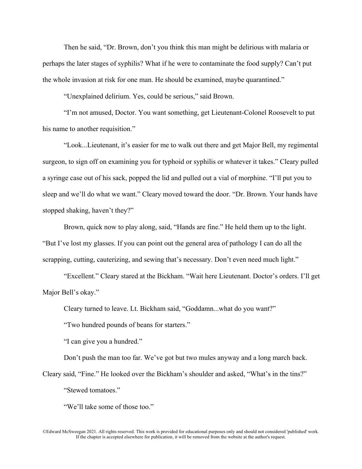Then he said, "Dr. Brown, don't you think this man might be delirious with malaria or perhaps the later stages of syphilis? What if he were to contaminate the food supply? Can't put the whole invasion at risk for one man. He should be examined, maybe quarantined."

"Unexplained delirium. Yes, could be serious," said Brown.

"I'm not amused, Doctor. You want something, get Lieutenant-Colonel Roosevelt to put his name to another requisition."

"Look...Lieutenant, it's easier for me to walk out there and get Major Bell, my regimental surgeon, to sign off on examining you for typhoid or syphilis or whatever it takes." Cleary pulled a syringe case out of his sack, popped the lid and pulled out a vial of morphine. "I'll put you to sleep and we'll do what we want." Cleary moved toward the door. "Dr. Brown. Your hands have stopped shaking, haven't they?"

Brown, quick now to play along, said, "Hands are fine." He held them up to the light. "But I've lost my glasses. If you can point out the general area of pathology I can do all the scrapping, cutting, cauterizing, and sewing that's necessary. Don't even need much light."

"Excellent." Cleary stared at the Bickham. "Wait here Lieutenant. Doctor's orders. I'll get Major Bell's okay."

Cleary turned to leave. Lt. Bickham said, "Goddamn...what do you want?"

"Two hundred pounds of beans for starters."

"I can give you a hundred."

Don't push the man too far. We've got but two mules anyway and a long march back.

Cleary said, "Fine." He looked over the Bickham's shoulder and asked, "What's in the tins?" "Stewed tomatoes."

"We'll take some of those too."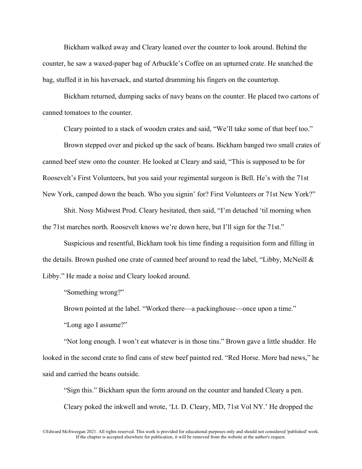Bickham walked away and Cleary leaned over the counter to look around. Behind the counter, he saw a waxed-paper bag of Arbuckle's Coffee on an upturned crate. He snatched the bag, stuffed it in his haversack, and started drumming his fingers on the countertop.

Bickham returned, dumping sacks of navy beans on the counter. He placed two cartons of canned tomatoes to the counter.

Cleary pointed to a stack of wooden crates and said, "We'll take some of that beef too."

Brown stepped over and picked up the sack of beans. Bickham banged two small crates of canned beef stew onto the counter. He looked at Cleary and said, "This is supposed to be for Roosevelt's First Volunteers, but you said your regimental surgeon is Bell. He's with the 71st New York, camped down the beach. Who you signin' for? First Volunteers or 71st New York?"

Shit. Nosy Midwest Prod. Cleary hesitated, then said, "I'm detached 'til morning when the 71st marches north. Roosevelt knows we're down here, but I'll sign for the 71st."

Suspicious and resentful, Bickham took his time finding a requisition form and filling in the details. Brown pushed one crate of canned beef around to read the label, "Libby, McNeill & Libby." He made a noise and Cleary looked around.

"Something wrong?"

Brown pointed at the label. "Worked there—a packinghouse—once upon a time." "Long ago I assume?"

"Not long enough. I won't eat whatever is in those tins." Brown gave a little shudder. He looked in the second crate to find cans of stew beef painted red. "Red Horse. More bad news," he said and carried the beans outside.

"Sign this." Bickham spun the form around on the counter and handed Cleary a pen. Cleary poked the inkwell and wrote, 'Lt. D. Cleary, MD, 71st Vol NY.' He dropped the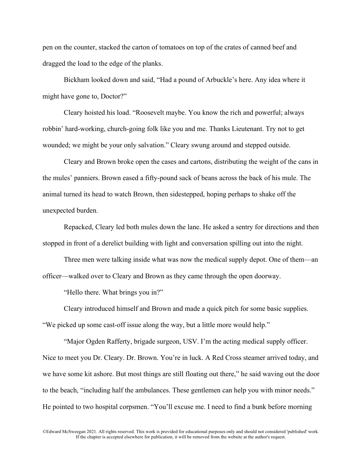pen on the counter, stacked the carton of tomatoes on top of the crates of canned beef and dragged the load to the edge of the planks.

Bickham looked down and said, "Had a pound of Arbuckle's here. Any idea where it might have gone to, Doctor?"

Cleary hoisted his load. "Roosevelt maybe. You know the rich and powerful; always robbin' hard-working, church-going folk like you and me. Thanks Lieutenant. Try not to get wounded; we might be your only salvation." Cleary swung around and stepped outside.

Cleary and Brown broke open the cases and cartons, distributing the weight of the cans in the mules' panniers. Brown eased a fifty-pound sack of beans across the back of his mule. The animal turned its head to watch Brown, then sidestepped, hoping perhaps to shake off the unexpected burden.

Repacked, Cleary led both mules down the lane. He asked a sentry for directions and then stopped in front of a derelict building with light and conversation spilling out into the night.

Three men were talking inside what was now the medical supply depot. One of them—an officer—walked over to Cleary and Brown as they came through the open doorway.

"Hello there. What brings you in?"

Cleary introduced himself and Brown and made a quick pitch for some basic supplies. "We picked up some cast-off issue along the way, but a little more would help."

"Major Ogden Rafferty, brigade surgeon, USV. I'm the acting medical supply officer. Nice to meet you Dr. Cleary. Dr. Brown. You're in luck. A Red Cross steamer arrived today, and we have some kit ashore. But most things are still floating out there," he said waving out the door to the beach, "including half the ambulances. These gentlemen can help you with minor needs." He pointed to two hospital corpsmen. "You'll excuse me. I need to find a bunk before morning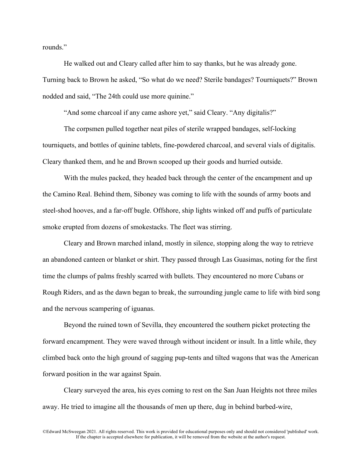rounds."

He walked out and Cleary called after him to say thanks, but he was already gone. Turning back to Brown he asked, "So what do we need? Sterile bandages? Tourniquets?" Brown nodded and said, "The 24th could use more quinine."

"And some charcoal if any came ashore yet," said Cleary. "Any digitalis?"

The corpsmen pulled together neat piles of sterile wrapped bandages, self-locking tourniquets, and bottles of quinine tablets, fine-powdered charcoal, and several vials of digitalis. Cleary thanked them, and he and Brown scooped up their goods and hurried outside.

With the mules packed, they headed back through the center of the encampment and up the Camino Real. Behind them, Siboney was coming to life with the sounds of army boots and steel-shod hooves, and a far-off bugle. Offshore, ship lights winked off and puffs of particulate smoke erupted from dozens of smokestacks. The fleet was stirring.

Cleary and Brown marched inland, mostly in silence, stopping along the way to retrieve an abandoned canteen or blanket or shirt. They passed through Las Guasimas, noting for the first time the clumps of palms freshly scarred with bullets. They encountered no more Cubans or Rough Riders, and as the dawn began to break, the surrounding jungle came to life with bird song and the nervous scampering of iguanas.

Beyond the ruined town of Sevilla, they encountered the southern picket protecting the forward encampment. They were waved through without incident or insult. In a little while, they climbed back onto the high ground of sagging pup-tents and tilted wagons that was the American forward position in the war against Spain.

Cleary surveyed the area, his eyes coming to rest on the San Juan Heights not three miles away. He tried to imagine all the thousands of men up there, dug in behind barbed-wire,